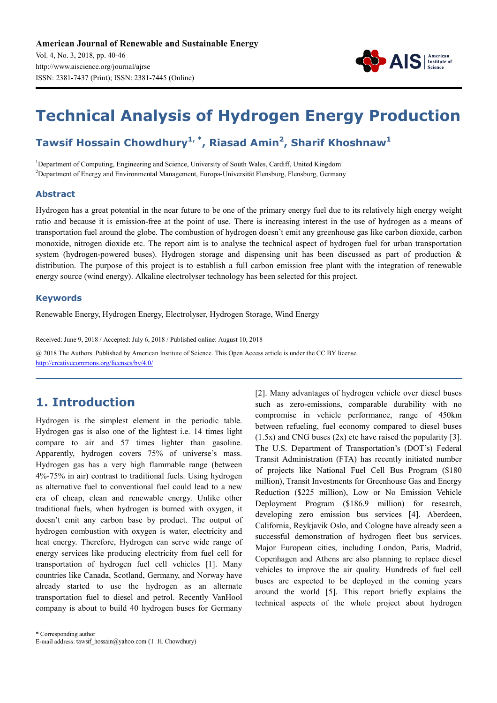

# **Technical Analysis of Hydrogen Energy Production**

# **Tawsif Hossain Chowdhury1, \*, Riasad Amin<sup>2</sup> , Sharif Khoshnaw<sup>1</sup>**

<sup>1</sup>Department of Computing, Engineering and Science, University of South Wales, Cardiff, United Kingdom <sup>2</sup>Department of Energy and Environmental Management, Europa-Universität Flensburg, Flensburg, Germany

#### **Abstract**

Hydrogen has a great potential in the near future to be one of the primary energy fuel due to its relatively high energy weight ratio and because it is emission-free at the point of use. There is increasing interest in the use of hydrogen as a means of transportation fuel around the globe. The combustion of hydrogen doesn't emit any greenhouse gas like carbon dioxide, carbon monoxide, nitrogen dioxide etc. The report aim is to analyse the technical aspect of hydrogen fuel for urban transportation system (hydrogen-powered buses). Hydrogen storage and dispensing unit has been discussed as part of production & distribution. The purpose of this project is to establish a full carbon emission free plant with the integration of renewable energy source (wind energy). Alkaline electrolyser technology has been selected for this project.

#### **Keywords**

Renewable Energy, Hydrogen Energy, Electrolyser, Hydrogen Storage, Wind Energy

Received: June 9, 2018 / Accepted: July 6, 2018 / Published online: August 10, 2018

@ 2018 The Authors. Published by American Institute of Science. This Open Access article is under the CC BY license. http://creativecommons.org/licenses/by/4.0/

# **1. Introduction**

Hydrogen is the simplest element in the periodic table. Hydrogen gas is also one of the lightest i.e. 14 times light compare to air and 57 times lighter than gasoline. Apparently, hydrogen covers 75% of universe's mass. Hydrogen gas has a very high flammable range (between 4%-75% in air) contrast to traditional fuels. Using hydrogen as alternative fuel to conventional fuel could lead to a new era of cheap, clean and renewable energy. Unlike other traditional fuels, when hydrogen is burned with oxygen, it doesn't emit any carbon base by product. The output of hydrogen combustion with oxygen is water, electricity and heat energy. Therefore, Hydrogen can serve wide range of energy services like producing electricity from fuel cell for transportation of hydrogen fuel cell vehicles [1]. Many countries like Canada, Scotland, Germany, and Norway have already started to use the hydrogen as an alternate transportation fuel to diesel and petrol. Recently VanHool company is about to build 40 hydrogen buses for Germany [2]. Many advantages of hydrogen vehicle over diesel buses such as zero-emissions, comparable durability with no compromise in vehicle performance, range of 450km between refueling, fuel economy compared to diesel buses  $(1.5x)$  and CNG buses  $(2x)$  etc have raised the popularity [3]. The U.S. Department of Transportation's (DOT's) Federal Transit Administration (FTA) has recently initiated number of projects like National Fuel Cell Bus Program (\$180 million), Transit Investments for Greenhouse Gas and Energy Reduction (\$225 million), Low or No Emission Vehicle Deployment Program (\$186.9 million) for research, developing zero emission bus services [4]. Aberdeen, California, Reykjavik Oslo, and Cologne have already seen a successful demonstration of hydrogen fleet bus services. Major European cities, including London, Paris, Madrid, Copenhagen and Athens are also planning to replace diesel vehicles to improve the air quality. Hundreds of fuel cell buses are expected to be deployed in the coming years around the world [5]. This report briefly explains the technical aspects of the whole project about hydrogen

\* Corresponding author

E-mail address: tawsif hossain@yahoo.com (T. H. Chowdhury)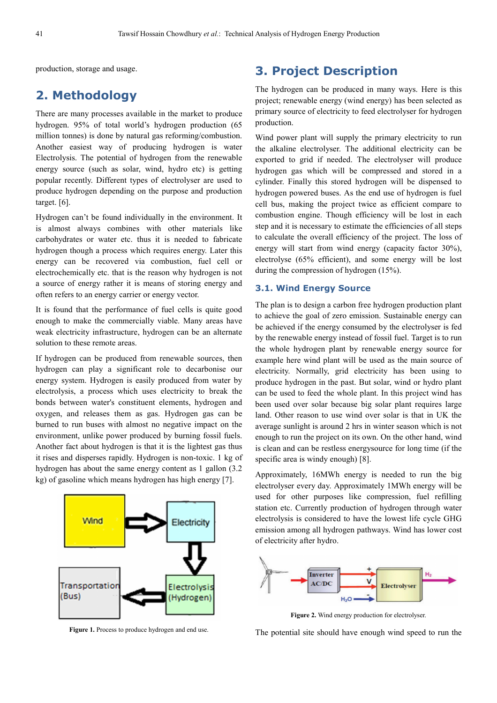production, storage and usage.

## **2. Methodology**

There are many processes available in the market to produce hydrogen. 95% of total world's hydrogen production (65 million tonnes) is done by natural gas reforming/combustion. Another easiest way of producing hydrogen is water Electrolysis. The potential of hydrogen from the renewable energy source (such as solar, wind, hydro etc) is getting popular recently. Different types of electrolyser are used to produce hydrogen depending on the purpose and production target. [6].

Hydrogen can't be found individually in the environment. It is almost always combines with other materials like carbohydrates or water etc. thus it is needed to fabricate hydrogen though a process which requires energy. Later this energy can be recovered via combustion, fuel cell or electrochemically etc. that is the reason why hydrogen is not a source of energy rather it is means of storing energy and often refers to an energy carrier or energy vector.

It is found that the performance of fuel cells is quite good enough to make the commercially viable. Many areas have weak electricity infrastructure, hydrogen can be an alternate solution to these remote areas.

If hydrogen can be produced from renewable sources, then hydrogen can play a significant role to decarbonise our energy system. Hydrogen is easily produced from water by electrolysis, a process which uses electricity to break the bonds between water's constituent elements, hydrogen and oxygen, and releases them as gas. Hydrogen gas can be burned to run buses with almost no negative impact on the environment, unlike power produced by burning fossil fuels. Another fact about hydrogen is that it is the lightest gas thus it rises and disperses rapidly. Hydrogen is non-toxic. 1 kg of hydrogen has about the same energy content as 1 gallon (3.2 kg) of gasoline which means hydrogen has high energy [7].



Figure 1. Process to produce hydrogen and end use.

# **3. Project Description**

The hydrogen can be produced in many ways. Here is this project; renewable energy (wind energy) has been selected as primary source of electricity to feed electrolyser for hydrogen production.

Wind power plant will supply the primary electricity to run the alkaline electrolyser. The additional electricity can be exported to grid if needed. The electrolyser will produce hydrogen gas which will be compressed and stored in a cylinder. Finally this stored hydrogen will be dispensed to hydrogen powered buses. As the end use of hydrogen is fuel cell bus, making the project twice as efficient compare to combustion engine. Though efficiency will be lost in each step and it is necessary to estimate the efficiencies of all steps to calculate the overall efficiency of the project. The loss of energy will start from wind energy (capacity factor 30%), electrolyse (65% efficient), and some energy will be lost during the compression of hydrogen (15%).

#### **3.1. Wind Energy Source**

The plan is to design a carbon free hydrogen production plant to achieve the goal of zero emission. Sustainable energy can be achieved if the energy consumed by the electrolyser is fed by the renewable energy instead of fossil fuel. Target is to run the whole hydrogen plant by renewable energy source for example here wind plant will be used as the main source of electricity. Normally, grid electricity has been using to produce hydrogen in the past. But solar, wind or hydro plant can be used to feed the whole plant. In this project wind has been used over solar because big solar plant requires large land. Other reason to use wind over solar is that in UK the average sunlight is around 2 hrs in winter season which is not enough to run the project on its own. On the other hand, wind is clean and can be restless energysource for long time (if the specific area is windy enough) [8].

Approximately, 16MWh energy is needed to run the big electrolyser every day. Approximately 1MWh energy will be used for other purposes like compression, fuel refilling station etc. Currently production of hydrogen through water electrolysis is considered to have the lowest life cycle GHG emission among all hydrogen pathways. Wind has lower cost of electricity after hydro.



**Figure 2.** Wind energy production for electrolyser.

The potential site should have enough wind speed to run the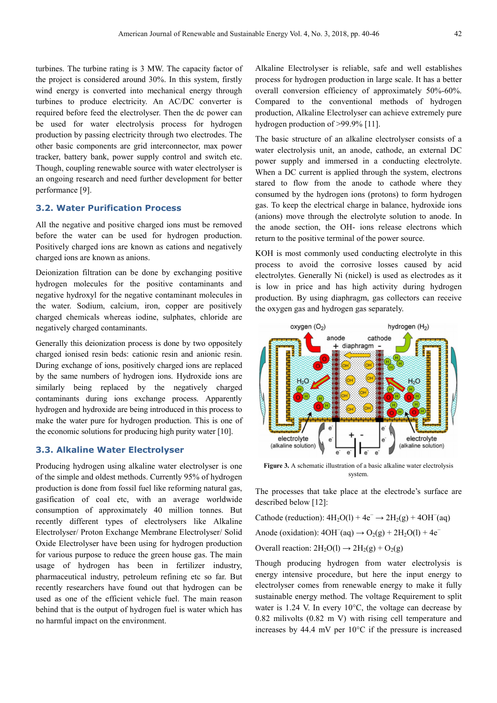turbines. The turbine rating is 3 MW. The capacity factor of the project is considered around 30%. In this system, firstly wind energy is converted into mechanical energy through turbines to produce electricity. An AC/DC converter is required before feed the electrolyser. Then the dc power can be used for water electrolysis process for hydrogen production by passing electricity through two electrodes. The other basic components are grid interconnector, max power tracker, battery bank, power supply control and switch etc. Though, coupling renewable source with water electrolyser is an ongoing research and need further development for better performance [9].

#### **3.2. Water Purification Process**

All the negative and positive charged ions must be removed before the water can be used for hydrogen production. Positively charged ions are known as cations and negatively charged ions are known as anions.

Deionization filtration can be done by exchanging positive hydrogen molecules for the positive contaminants and negative hydroxyl for the negative contaminant molecules in the water. Sodium, calcium, iron, copper are positively charged chemicals whereas iodine, sulphates, chloride are negatively charged contaminants.

Generally this deionization process is done by two oppositely charged ionised resin beds: cationic resin and anionic resin. During exchange of ions, positively charged ions are replaced by the same numbers of hydrogen ions. Hydroxide ions are similarly being replaced by the negatively charged contaminants during ions exchange process. Apparently hydrogen and hydroxide are being introduced in this process to make the water pure for hydrogen production. This is one of the economic solutions for producing high purity water [10].

#### **3.3. Alkaline Water Electrolyser**

Producing hydrogen using alkaline water electrolyser is one of the simple and oldest methods. Currently 95% of hydrogen production is done from fossil fuel like reforming natural gas, gasification of coal etc, with an average worldwide consumption of approximately 40 million tonnes. But recently different types of electrolysers like Alkaline Electrolyser/ Proton Exchange Membrane Electrolyser/ Solid Oxide Electrolyser have been using for hydrogen production for various purpose to reduce the green house gas. The main usage of hydrogen has been in fertilizer industry, pharmaceutical industry, petroleum refining etc so far. But recently researchers have found out that hydrogen can be used as one of the efficient vehicle fuel. The main reason behind that is the output of hydrogen fuel is water which has no harmful impact on the environment.

Alkaline Electrolyser is reliable, safe and well establishes process for hydrogen production in large scale. It has a better overall conversion efficiency of approximately 50%-60%. Compared to the conventional methods of hydrogen production, Alkaline Electrolyser can achieve extremely pure hydrogen production of >99.9% [11].

The basic structure of an alkaline electrolyser consists of a water electrolysis unit, an anode, cathode, an external DC power supply and immersed in a conducting electrolyte. When a DC current is applied through the system, electrons stared to flow from the anode to cathode where they consumed by the hydrogen ions (protons) to form hydrogen gas. To keep the electrical charge in balance, hydroxide ions (anions) move through the electrolyte solution to anode. In the anode section, the OH- ions release electrons which return to the positive terminal of the power source.

KOH is most commonly used conducting electrolyte in this process to avoid the corrosive losses caused by acid electrolytes. Generally Ni (nickel) is used as electrodes as it is low in price and has high activity during hydrogen production. By using diaphragm, gas collectors can receive the oxygen gas and hydrogen gas separately.



**Figure 3.** A schematic illustration of a basic alkaline water electrolysis system.

The processes that take place at the electrode's surface are described below [12]:

Cathode (reduction):  $4H_2O(1) + 4e^- \rightarrow 2H_2(g) + 4OH^-(aq)$ 

Anode (oxidation):  $4OH<sup>-</sup>(aq) \rightarrow O<sub>2</sub>(g) + 2H<sub>2</sub>O(l) + 4e<sup>-</sup>$ 

Overall reaction:  $2H_2O(1) \rightarrow 2H_2(g) + O_2(g)$ 

Though producing hydrogen from water electrolysis is energy intensive procedure, but here the input energy to electrolyser comes from renewable energy to make it fully sustainable energy method. The voltage Requirement to split water is 1.24 V. In every 10°C, the voltage can decrease by 0.82 milivolts (0.82 m V) with rising cell temperature and increases by 44.4 mV per 10°C if the pressure is increased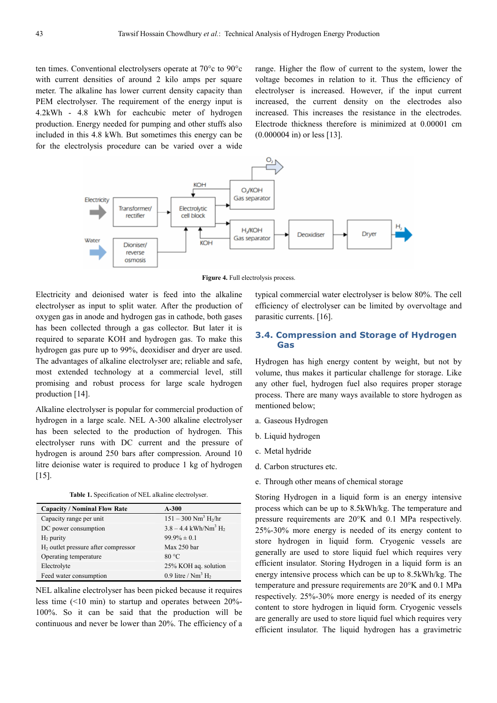ten times. Conventional electrolysers operate at 70°c to 90°c with current densities of around 2 kilo amps per square meter. The alkaline has lower current density capacity than PEM electrolyser. The requirement of the energy input is 4.2kWh - 4.8 kWh for eachcubic meter of hydrogen production. Energy needed for pumping and other stuffs also included in this 4.8 kWh. But sometimes this energy can be for the electrolysis procedure can be varied over a wide range. Higher the flow of current to the system, lower the voltage becomes in relation to it. Thus the efficiency of electrolyser is increased. However, if the input current increased, the current density on the electrodes also increased. This increases the resistance in the electrodes. Electrode thickness therefore is minimized at 0.00001 cm (0.000004 in) or less [13].



Figure 4. Full electrolysis process.

Electricity and deionised water is feed into the alkaline electrolyser as input to split water. After the production of oxygen gas in anode and hydrogen gas in cathode, both gases has been collected through a gas collector. But later it is required to separate KOH and hydrogen gas. To make this hydrogen gas pure up to 99%, deoxidiser and dryer are used. The advantages of alkaline electrolyser are; reliable and safe, most extended technology at a commercial level, still promising and robust process for large scale hydrogen production [14].

Alkaline electrolyser is popular for commercial production of hydrogen in a large scale. NEL A-300 alkaline electrolyser has been selected to the production of hydrogen. This electrolyser runs with DC current and the pressure of hydrogen is around 250 bars after compression. Around 10 litre deionise water is required to produce 1 kg of hydrogen  $[15]$ .

**Table 1.** Specification of NEL alkaline electrolyser.

| <b>Capacity / Nominal Flow Rate</b>   | $A-300$                                        |
|---------------------------------------|------------------------------------------------|
| Capacity range per unit               | $151 - 300$ Nm <sup>3</sup> H <sub>2</sub> /hr |
| DC power consumption                  | $3.8 - 4.4$ kWh/Nm <sup>3</sup> H <sub>2</sub> |
| $H_2$ purity                          | $99.9\% \pm 0.1$                               |
| $H2$ outlet pressure after compressor | Max 250 bar                                    |
| Operating temperature                 | 80 °C                                          |
| Electrolyte                           | 25% KOH aq. solution                           |
| Feed water consumption                | 0.9 litre / $Nm^3 H_2$                         |

NEL alkaline electrolyser has been picked because it requires less time (<10 min) to startup and operates between 20%- 100%. So it can be said that the production will be continuous and never be lower than 20%. The efficiency of a typical commercial water electrolyser is below 80%. The cell efficiency of electrolyser can be limited by overvoltage and parasitic currents. [16].

#### **3.4. Compression and Storage of Hydrogen Gas**

Hydrogen has high energy content by weight, but not by volume, thus makes it particular challenge for storage. Like any other fuel, hydrogen fuel also requires proper storage process. There are many ways available to store hydrogen as mentioned below;

- a. Gaseous Hydrogen
- b. Liquid hydrogen
- c. Metal hydride
- d. Carbon structures etc.
- e. Through other means of chemical storage

Storing Hydrogen in a liquid form is an energy intensive process which can be up to 8.5kWh/kg. The temperature and pressure requirements are 20°K and 0.1 MPa respectively. 25%-30% more energy is needed of its energy content to store hydrogen in liquid form. Cryogenic vessels are generally are used to store liquid fuel which requires very efficient insulator. Storing Hydrogen in a liquid form is an energy intensive process which can be up to 8.5kWh/kg. The temperature and pressure requirements are 20°K and 0.1 MPa respectively. 25%-30% more energy is needed of its energy content to store hydrogen in liquid form. Cryogenic vessels are generally are used to store liquid fuel which requires very efficient insulator. The liquid hydrogen has a gravimetric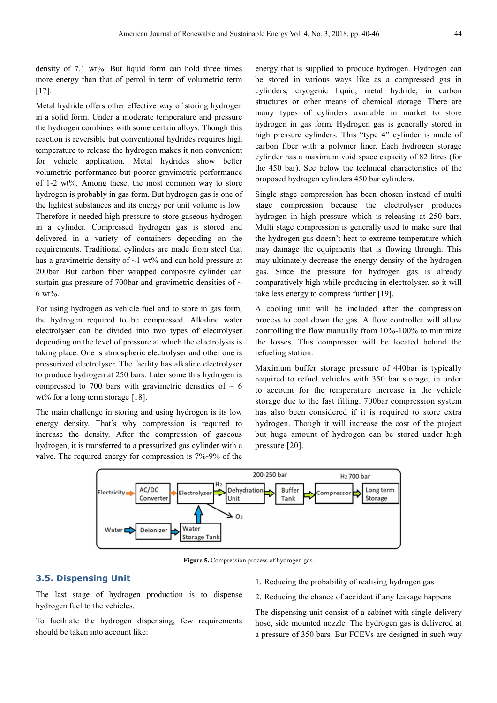density of 7.1 wt%. But liquid form can hold three times more energy than that of petrol in term of volumetric term [17].

Metal hydride offers other effective way of storing hydrogen in a solid form. Under a moderate temperature and pressure the hydrogen combines with some certain alloys. Though this reaction is reversible but conventional hydrides requires high temperature to release the hydrogen makes it non convenient for vehicle application. Metal hydrides show better volumetric performance but poorer gravimetric performance of 1-2 wt%. Among these, the most common way to store hydrogen is probably in gas form. But hydrogen gas is one of the lightest substances and its energy per unit volume is low. Therefore it needed high pressure to store gaseous hydrogen in a cylinder. Compressed hydrogen gas is stored and delivered in a variety of containers depending on the requirements. Traditional cylinders are made from steel that has a gravimetric density of  $\sim$ 1 wt% and can hold pressure at 200bar. But carbon fiber wrapped composite cylinder can sustain gas pressure of 700bar and gravimetric densities of  $\sim$ 6 wt%.

For using hydrogen as vehicle fuel and to store in gas form, the hydrogen required to be compressed. Alkaline water electrolyser can be divided into two types of electrolyser depending on the level of pressure at which the electrolysis is taking place. One is atmospheric electrolyser and other one is pressurized electrolyser. The facility has alkaline electrolyser to produce hydrogen at 250 bars. Later some this hydrogen is compressed to 700 bars with gravimetric densities of  $\sim 6$ wt% for a long term storage [18].

The main challenge in storing and using hydrogen is its low energy density. That's why compression is required to increase the density. After the compression of gaseous hydrogen, it is transferred to a pressurized gas cylinder with a valve. The required energy for compression is 7%-9% of the energy that is supplied to produce hydrogen. Hydrogen can be stored in various ways like as a compressed gas in cylinders, cryogenic liquid, metal hydride, in carbon structures or other means of chemical storage. There are many types of cylinders available in market to store hydrogen in gas form. Hydrogen gas is generally stored in high pressure cylinders. This "type 4" cylinder is made of carbon fiber with a polymer liner. Each hydrogen storage cylinder has a maximum void space capacity of 82 litres (for the 450 bar). See below the technical characteristics of the proposed hydrogen cylinders 450 bar cylinders.

Single stage compression has been chosen instead of multi stage compression because the electrolyser produces hydrogen in high pressure which is releasing at 250 bars. Multi stage compression is generally used to make sure that the hydrogen gas doesn't heat to extreme temperature which may damage the equipments that is flowing through. This may ultimately decrease the energy density of the hydrogen gas. Since the pressure for hydrogen gas is already comparatively high while producing in electrolyser, so it will take less energy to compress further [19].

A cooling unit will be included after the compression process to cool down the gas. A flow controller will allow controlling the flow manually from 10%-100% to minimize the losses. This compressor will be located behind the refueling station.

Maximum buffer storage pressure of 440bar is typically required to refuel vehicles with 350 bar storage, in order to account for the temperature increase in the vehicle storage due to the fast filling. 700bar compression system has also been considered if it is required to store extra hydrogen. Though it will increase the cost of the project but huge amount of hydrogen can be stored under high pressure [20].



Figure 5. Compression process of hydrogen gas.

#### **3.5. Dispensing Unit**

The last stage of hydrogen production is to dispense hydrogen fuel to the vehicles.

To facilitate the hydrogen dispensing, few requirements should be taken into account like:

- 1. Reducing the probability of realising hydrogen gas
- 2. Reducing the chance of accident if any leakage happens

The dispensing unit consist of a cabinet with single delivery hose, side mounted nozzle. The hydrogen gas is delivered at a pressure of 350 bars. But FCEVs are designed in such way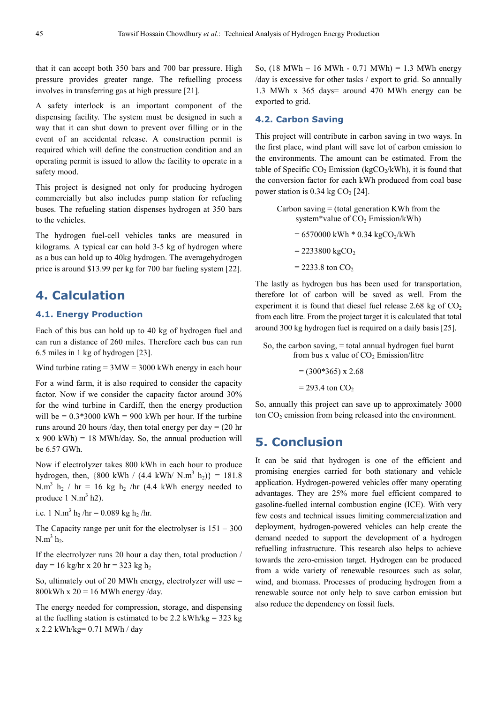that it can accept both 350 bars and 700 bar pressure. High pressure provides greater range. The refuelling process involves in transferring gas at high pressure [21].

A safety interlock is an important component of the dispensing facility. The system must be designed in such a way that it can shut down to prevent over filling or in the event of an accidental release. A construction permit is required which will define the construction condition and an operating permit is issued to allow the facility to operate in a safety mood.

This project is designed not only for producing hydrogen commercially but also includes pump station for refueling buses. The refueling station dispenses hydrogen at 350 bars to the vehicles.

The hydrogen fuel-cell vehicles tanks are measured in kilograms. A typical car can hold 3-5 kg of hydrogen where as a bus can hold up to 40kg hydrogen. The averagehydrogen price is around \$13.99 per kg for 700 bar fueling system [22].

## **4. Calculation**

#### **4.1. Energy Production**

Each of this bus can hold up to 40 kg of hydrogen fuel and can run a distance of 260 miles. Therefore each bus can run 6.5 miles in 1 kg of hydrogen [23].

Wind turbine rating  $= 3MW = 3000$  kWh energy in each hour

For a wind farm, it is also required to consider the capacity factor. Now if we consider the capacity factor around 30% for the wind turbine in Cardiff, then the energy production will be  $= 0.3*3000$  kWh  $= 900$  kWh per hour. If the turbine runs around 20 hours /day, then total energy per day  $= (20 \text{ hr})$  $x$  900 kWh) = 18 MWh/day. So, the annual production will be 6.57 GWh.

Now if electrolyzer takes 800 kWh in each hour to produce hydrogen, then,  $\{800 \text{ kWh} / (4.4 \text{ kWh} / \text{N} \cdot \text{m}^3 \text{ h}_2)\} = 181.8$ N.m<sup>3</sup> h<sub>2</sub> / hr = 16 kg h<sub>2</sub> /hr (4.4 kWh energy needed to produce  $1 \text{ N.m}^3 \text{ h2}$ ).

i.e. 1 N.m<sup>3</sup> h<sub>2</sub>/hr = 0.089 kg h<sub>2</sub>/hr.

The Capacity range per unit for the electrolyser is  $151 - 300$  $N.m^3 h_2$ .

If the electrolyzer runs 20 hour a day then, total production /  $day = 16$  kg/hr x 20 hr = 323 kg h<sub>2</sub>

So, ultimately out of 20 MWh energy, electrolyzer will use  $=$ 800kWh x  $20 = 16$  MWh energy /day.

The energy needed for compression, storage, and dispensing at the fuelling station is estimated to be 2.2 kWh/kg =  $323$  kg x 2.2 kWh/kg= 0.71 MWh / day

So, (18 MWh – 16 MWh - 0.71 MWh) = 1.3 MWh energy /day is excessive for other tasks / export to grid. So annually 1.3 MWh x 365 days= around 470 MWh energy can be exported to grid.

#### **4.2. Carbon Saving**

This project will contribute in carbon saving in two ways. In the first place, wind plant will save lot of carbon emission to the environments. The amount can be estimated. From the table of Specific  $CO_2$  Emission (kg $CO_2/kWh$ ), it is found that the conversion factor for each kWh produced from coal base power station is  $0.34$  kg CO<sub>2</sub> [24].

> Carbon saving  $=$  (total generation KWh from the system\*value of  $CO<sub>2</sub>$  Emission/kWh)  $= 6570000$  kWh  $* 0.34$  kgCO<sub>2</sub>/kWh  $= 2233800 \text{ kgCO}_2$  $= 2233.8$  ton CO<sub>2</sub>

The lastly as hydrogen bus has been used for transportation, therefore lot of carbon will be saved as well. From the experiment it is found that diesel fuel release  $2.68 \text{ kg of } CO<sub>2</sub>$ from each litre. From the project target it is calculated that total around 300 kg hydrogen fuel is required on a daily basis [25].

So, the carbon saving, = total annual hydrogen fuel burnt from bus x value of  $CO<sub>2</sub>$  Emission/litre

> $= (300*365) \times 2.68$  $= 293.4$  ton  $CO<sub>2</sub>$

So, annually this project can save up to approximately 3000 ton CO<sub>2</sub> emission from being released into the environment.

### **5. Conclusion**

It can be said that hydrogen is one of the efficient and promising energies carried for both stationary and vehicle application. Hydrogen-powered vehicles offer many operating advantages. They are 25% more fuel efficient compared to gasoline-fuelled internal combustion engine (ICE). With very few costs and technical issues limiting commercialization and deployment, hydrogen-powered vehicles can help create the demand needed to support the development of a hydrogen refuelling infrastructure. This research also helps to achieve towards the zero-emission target. Hydrogen can be produced from a wide variety of renewable resources such as solar, wind, and biomass. Processes of producing hydrogen from a renewable source not only help to save carbon emission but also reduce the dependency on fossil fuels.